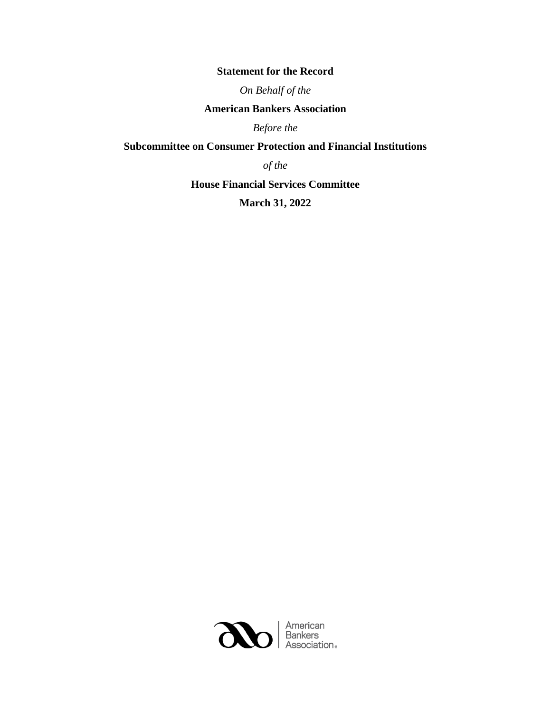## **Statement for the Record**

*On Behalf of the*

## **American Bankers Association**

*Before the*

# **Subcommittee on Consumer Protection and Financial Institutions**

*of the* 

**House Financial Services Committee**

**March 31, 2022**

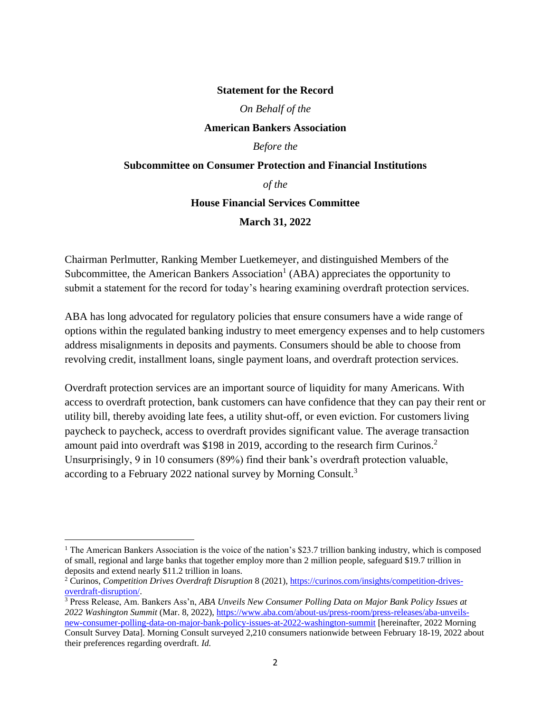#### **Statement for the Record**

*On Behalf of the*

**American Bankers Association**

*Before the*

### **Subcommittee on Consumer Protection and Financial Institutions**

*of the* 

#### **House Financial Services Committee**

**March 31, 2022**

Chairman Perlmutter, Ranking Member Luetkemeyer, and distinguished Members of the Subcommittee, the American Bankers Association<sup>1</sup> (ABA) appreciates the opportunity to submit a statement for the record for today's hearing examining overdraft protection services.

ABA has long advocated for regulatory policies that ensure consumers have a wide range of options within the regulated banking industry to meet emergency expenses and to help customers address misalignments in deposits and payments. Consumers should be able to choose from revolving credit, installment loans, single payment loans, and overdraft protection services.

Overdraft protection services are an important source of liquidity for many Americans. With access to overdraft protection, bank customers can have confidence that they can pay their rent or utility bill, thereby avoiding late fees, a utility shut-off, or even eviction. For customers living paycheck to paycheck, access to overdraft provides significant value. The average transaction amount paid into overdraft was \$198 in 2019, according to the research firm Curinos.<sup>2</sup> Unsurprisingly, 9 in 10 consumers (89%) find their bank's overdraft protection valuable, according to a February 2022 national survey by Morning Consult.<sup>3</sup>

<sup>&</sup>lt;sup>1</sup> The American Bankers Association is the voice of the nation's \$23.7 trillion banking industry, which is composed of small, regional and large banks that together employ more than 2 million people, safeguard \$19.7 trillion in deposits and extend nearly \$11.2 trillion in loans.

<sup>2</sup> Curinos, *Competition Drives Overdraft Disruption* 8 (2021), [https://curinos.com/insights/competition-drives](https://curinos.com/insights/competition-drives-overdraft-disruption/)[overdraft-disruption/.](https://curinos.com/insights/competition-drives-overdraft-disruption/)

<sup>3</sup> Press Release, Am. Bankers Ass'n, *ABA Unveils New Consumer Polling Data on Major Bank Policy Issues at 2022 Washington Summit* (Mar. 8, 2022)[, https://www.aba.com/about-us/press-room/press-releases/aba-unveils](https://www.aba.com/about-us/press-room/press-releases/aba-unveils-new-consumer-polling-data-on-major-bank-policy-issues-at-2022-washington-summit)[new-consumer-polling-data-on-major-bank-policy-issues-at-2022-washington-summit](https://www.aba.com/about-us/press-room/press-releases/aba-unveils-new-consumer-polling-data-on-major-bank-policy-issues-at-2022-washington-summit) [hereinafter, 2022 Morning Consult Survey Data]. Morning Consult surveyed 2,210 consumers nationwide between February 18-19, 2022 about their preferences regarding overdraft. *Id.*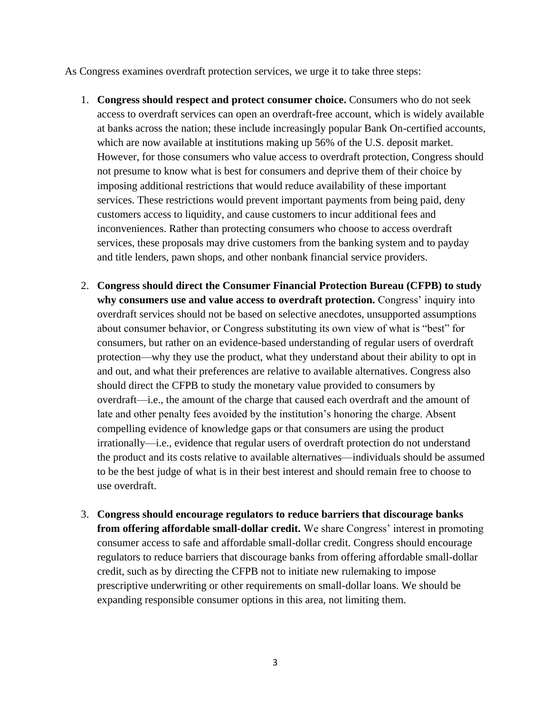As Congress examines overdraft protection services, we urge it to take three steps:

- 1. **Congress should respect and protect consumer choice.** Consumers who do not seek access to overdraft services can open an overdraft-free account, which is widely available at banks across the nation; these include increasingly popular Bank On-certified accounts, which are now available at institutions making up 56% of the U.S. deposit market. However, for those consumers who value access to overdraft protection, Congress should not presume to know what is best for consumers and deprive them of their choice by imposing additional restrictions that would reduce availability of these important services. These restrictions would prevent important payments from being paid, deny customers access to liquidity, and cause customers to incur additional fees and inconveniences. Rather than protecting consumers who choose to access overdraft services, these proposals may drive customers from the banking system and to payday and title lenders, pawn shops, and other nonbank financial service providers.
- 2. **Congress should direct the Consumer Financial Protection Bureau (CFPB) to study why consumers use and value access to overdraft protection.** Congress' inquiry into overdraft services should not be based on selective anecdotes, unsupported assumptions about consumer behavior, or Congress substituting its own view of what is "best" for consumers, but rather on an evidence-based understanding of regular users of overdraft protection—why they use the product, what they understand about their ability to opt in and out, and what their preferences are relative to available alternatives. Congress also should direct the CFPB to study the monetary value provided to consumers by overdraft—i.e., the amount of the charge that caused each overdraft and the amount of late and other penalty fees avoided by the institution's honoring the charge. Absent compelling evidence of knowledge gaps or that consumers are using the product irrationally—i.e., evidence that regular users of overdraft protection do not understand the product and its costs relative to available alternatives—individuals should be assumed to be the best judge of what is in their best interest and should remain free to choose to use overdraft.
- 3. **Congress should encourage regulators to reduce barriers that discourage banks from offering affordable small-dollar credit.** We share Congress' interest in promoting consumer access to safe and affordable small-dollar credit. Congress should encourage regulators to reduce barriers that discourage banks from offering affordable small-dollar credit, such as by directing the CFPB not to initiate new rulemaking to impose prescriptive underwriting or other requirements on small-dollar loans. We should be expanding responsible consumer options in this area, not limiting them.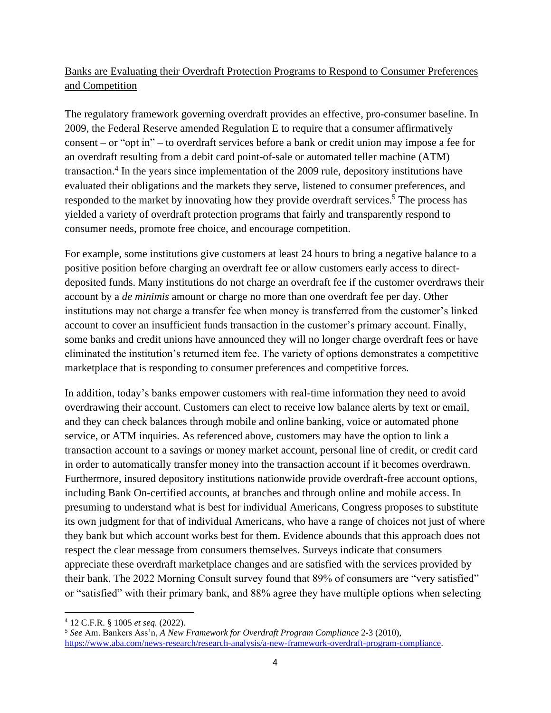# Banks are Evaluating their Overdraft Protection Programs to Respond to Consumer Preferences and Competition

The regulatory framework governing overdraft provides an effective, pro-consumer baseline. In 2009, the Federal Reserve amended Regulation E to require that a consumer affirmatively consent – or "opt in" – to overdraft services before a bank or credit union may impose a fee for an overdraft resulting from a debit card point-of-sale or automated teller machine (ATM) transaction.<sup>4</sup> In the years since implementation of the 2009 rule, depository institutions have evaluated their obligations and the markets they serve, listened to consumer preferences, and responded to the market by innovating how they provide overdraft services.<sup>5</sup> The process has yielded a variety of overdraft protection programs that fairly and transparently respond to consumer needs, promote free choice, and encourage competition.

For example, some institutions give customers at least 24 hours to bring a negative balance to a positive position before charging an overdraft fee or allow customers early access to directdeposited funds. Many institutions do not charge an overdraft fee if the customer overdraws their account by a *de minimis* amount or charge no more than one overdraft fee per day. Other institutions may not charge a transfer fee when money is transferred from the customer's linked account to cover an insufficient funds transaction in the customer's primary account. Finally, some banks and credit unions have announced they will no longer charge overdraft fees or have eliminated the institution's returned item fee. The variety of options demonstrates a competitive marketplace that is responding to consumer preferences and competitive forces.

In addition, today's banks empower customers with real-time information they need to avoid overdrawing their account. Customers can elect to receive low balance alerts by text or email, and they can check balances through mobile and online banking, voice or automated phone service, or ATM inquiries. As referenced above, customers may have the option to link a transaction account to a savings or money market account, personal line of credit, or credit card in order to automatically transfer money into the transaction account if it becomes overdrawn. Furthermore, insured depository institutions nationwide provide overdraft-free account options, including Bank On-certified accounts, at branches and through online and mobile access. In presuming to understand what is best for individual Americans, Congress proposes to substitute its own judgment for that of individual Americans, who have a range of choices not just of where they bank but which account works best for them. Evidence abounds that this approach does not respect the clear message from consumers themselves. Surveys indicate that consumers appreciate these overdraft marketplace changes and are satisfied with the services provided by their bank. The 2022 Morning Consult survey found that 89% of consumers are "very satisfied" or "satisfied" with their primary bank, and 88% agree they have multiple options when selecting

<sup>4</sup> 12 C.F.R. § 1005 *et seq.* (2022).

<sup>5</sup> *See* Am. Bankers Ass'n, *A New Framework for Overdraft Program Compliance* 2-3 (2010), [https://www.aba.com/news-research/research-analysis/a-new-framework-overdraft-program-compliance.](https://www.aba.com/news-research/research-analysis/a-new-framework-overdraft-program-compliance)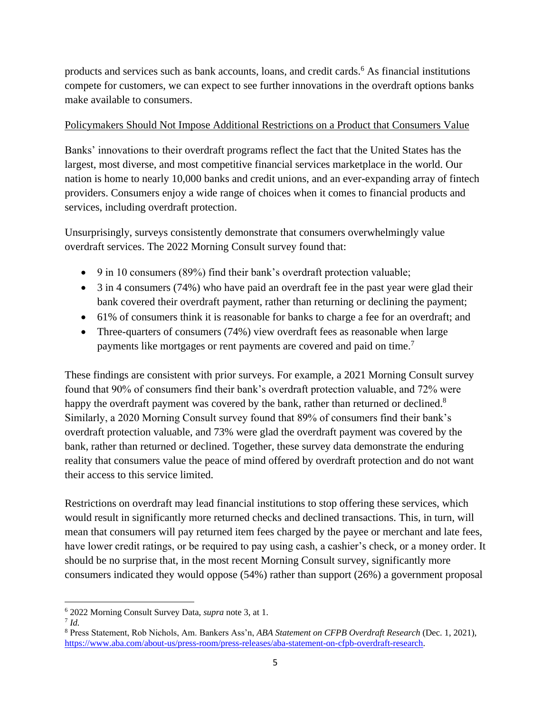products and services such as bank accounts, loans, and credit cards.<sup>6</sup> As financial institutions compete for customers, we can expect to see further innovations in the overdraft options banks make available to consumers.

## Policymakers Should Not Impose Additional Restrictions on a Product that Consumers Value

Banks' innovations to their overdraft programs reflect the fact that the United States has the largest, most diverse, and most competitive financial services marketplace in the world. Our nation is home to nearly 10,000 banks and credit unions, and an ever-expanding array of fintech providers. Consumers enjoy a wide range of choices when it comes to financial products and services, including overdraft protection.

Unsurprisingly, surveys consistently demonstrate that consumers overwhelmingly value overdraft services. The 2022 Morning Consult survey found that:

- 9 in 10 consumers (89%) find their bank's overdraft protection valuable;
- 3 in 4 consumers (74%) who have paid an overdraft fee in the past year were glad their bank covered their overdraft payment, rather than returning or declining the payment;
- 61% of consumers think it is reasonable for banks to charge a fee for an overdraft; and
- Three-quarters of consumers (74%) view overdraft fees as reasonable when large payments like mortgages or rent payments are covered and paid on time.<sup>7</sup>

These findings are consistent with prior surveys. For example, a 2021 Morning Consult survey found that 90% of consumers find their bank's overdraft protection valuable, and 72% were happy the overdraft payment was covered by the bank, rather than returned or declined.<sup>8</sup> Similarly, a 2020 Morning Consult survey found that 89% of consumers find their bank's overdraft protection valuable, and 73% were glad the overdraft payment was covered by the bank, rather than returned or declined. Together, these survey data demonstrate the enduring reality that consumers value the peace of mind offered by overdraft protection and do not want their access to this service limited.

Restrictions on overdraft may lead financial institutions to stop offering these services, which would result in significantly more returned checks and declined transactions. This, in turn, will mean that consumers will pay returned item fees charged by the payee or merchant and late fees, have lower credit ratings, or be required to pay using cash, a cashier's check, or a money order. It should be no surprise that, in the most recent Morning Consult survey, significantly more consumers indicated they would oppose (54%) rather than support (26%) a government proposal

<sup>6</sup> 2022 Morning Consult Survey Data, *supra* note 3, at 1.

<sup>7</sup> *Id.*

<sup>8</sup> Press Statement, Rob Nichols, Am. Bankers Ass'n, *ABA Statement on CFPB Overdraft Research* (Dec. 1, 2021), [https://www.aba.com/about-us/press-room/press-releases/aba-statement-on-cfpb-overdraft-research.](https://www.aba.com/about-us/press-room/press-releases/aba-statement-on-cfpb-overdraft-research)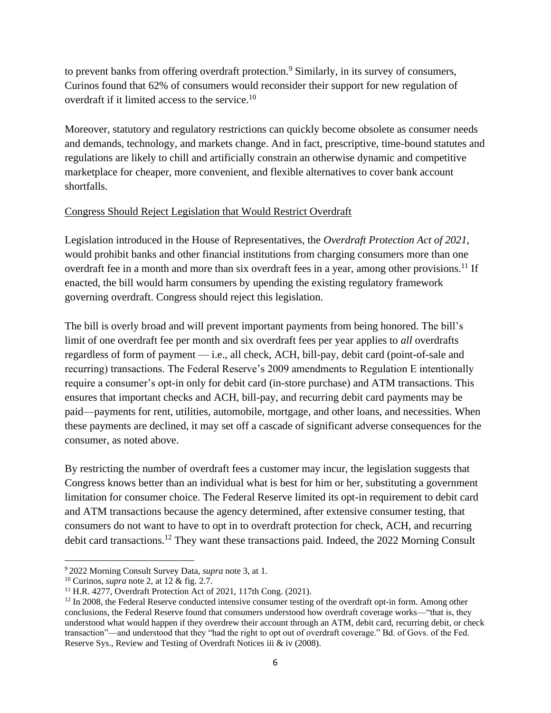to prevent banks from offering overdraft protection.<sup>9</sup> Similarly, in its survey of consumers, Curinos found that 62% of consumers would reconsider their support for new regulation of overdraft if it limited access to the service.<sup>10</sup>

Moreover, statutory and regulatory restrictions can quickly become obsolete as consumer needs and demands, technology, and markets change. And in fact, prescriptive, time-bound statutes and regulations are likely to chill and artificially constrain an otherwise dynamic and competitive marketplace for cheaper, more convenient, and flexible alternatives to cover bank account shortfalls.

## Congress Should Reject Legislation that Would Restrict Overdraft

Legislation introduced in the House of Representatives, the *Overdraft Protection Act of 2021*, would prohibit banks and other financial institutions from charging consumers more than one overdraft fee in a month and more than six overdraft fees in a year, among other provisions.<sup>11</sup> If enacted, the bill would harm consumers by upending the existing regulatory framework governing overdraft. Congress should reject this legislation.

The bill is overly broad and will prevent important payments from being honored. The bill's limit of one overdraft fee per month and six overdraft fees per year applies to *all* overdrafts regardless of form of payment — i.e., all check, ACH, bill-pay, debit card (point-of-sale and recurring) transactions. The Federal Reserve's 2009 amendments to Regulation E intentionally require a consumer's opt-in only for debit card (in-store purchase) and ATM transactions. This ensures that important checks and ACH, bill-pay, and recurring debit card payments may be paid—payments for rent, utilities, automobile, mortgage, and other loans, and necessities. When these payments are declined, it may set off a cascade of significant adverse consequences for the consumer, as noted above.

By restricting the number of overdraft fees a customer may incur, the legislation suggests that Congress knows better than an individual what is best for him or her, substituting a government limitation for consumer choice. The Federal Reserve limited its opt-in requirement to debit card and ATM transactions because the agency determined, after extensive consumer testing, that consumers do not want to have to opt in to overdraft protection for check, ACH, and recurring debit card transactions.<sup>12</sup> They want these transactions paid. Indeed, the 2022 Morning Consult

<sup>9</sup> 2022 Morning Consult Survey Data, *supra* note 3, at 1.

<sup>10</sup> Curinos, *supra* note 2, at 12 & fig. 2.7.

<sup>&</sup>lt;sup>11</sup> H.R. 4277, Overdraft Protection Act of 2021, 117th Cong.  $(2021)$ .

 $12$  In 2008, the Federal Reserve conducted intensive consumer testing of the overdraft opt-in form. Among other conclusions, the Federal Reserve found that consumers understood how overdraft coverage works—"that is, they understood what would happen if they overdrew their account through an ATM, debit card, recurring debit, or check transaction"—and understood that they "had the right to opt out of overdraft coverage." Bd. of Govs. of the Fed. Reserve Sys., Review and Testing of Overdraft Notices iii & iv (2008).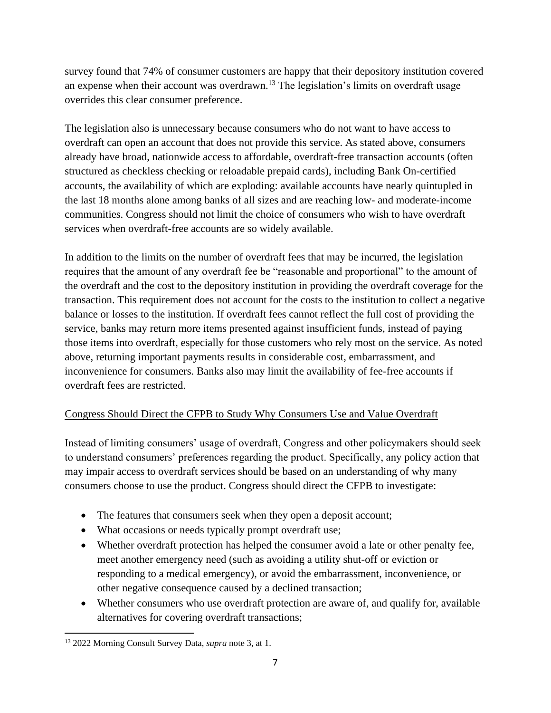survey found that 74% of consumer customers are happy that their depository institution covered an expense when their account was overdrawn.<sup>13</sup> The legislation's limits on overdraft usage overrides this clear consumer preference.

The legislation also is unnecessary because consumers who do not want to have access to overdraft can open an account that does not provide this service. As stated above, consumers already have broad, nationwide access to affordable, overdraft-free transaction accounts (often structured as checkless checking or reloadable prepaid cards), including Bank On-certified accounts, the availability of which are exploding: available accounts have nearly quintupled in the last 18 months alone among banks of all sizes and are reaching low- and moderate-income communities. Congress should not limit the choice of consumers who wish to have overdraft services when overdraft-free accounts are so widely available.

In addition to the limits on the number of overdraft fees that may be incurred, the legislation requires that the amount of any overdraft fee be "reasonable and proportional" to the amount of the overdraft and the cost to the depository institution in providing the overdraft coverage for the transaction. This requirement does not account for the costs to the institution to collect a negative balance or losses to the institution. If overdraft fees cannot reflect the full cost of providing the service, banks may return more items presented against insufficient funds, instead of paying those items into overdraft, especially for those customers who rely most on the service. As noted above, returning important payments results in considerable cost, embarrassment, and inconvenience for consumers. Banks also may limit the availability of fee-free accounts if overdraft fees are restricted.

## Congress Should Direct the CFPB to Study Why Consumers Use and Value Overdraft

Instead of limiting consumers' usage of overdraft, Congress and other policymakers should seek to understand consumers' preferences regarding the product. Specifically, any policy action that may impair access to overdraft services should be based on an understanding of why many consumers choose to use the product. Congress should direct the CFPB to investigate:

- The features that consumers seek when they open a deposit account;
- What occasions or needs typically prompt overdraft use;
- Whether overdraft protection has helped the consumer avoid a late or other penalty fee, meet another emergency need (such as avoiding a utility shut-off or eviction or responding to a medical emergency), or avoid the embarrassment, inconvenience, or other negative consequence caused by a declined transaction;
- Whether consumers who use overdraft protection are aware of, and qualify for, available alternatives for covering overdraft transactions;

<sup>13</sup> 2022 Morning Consult Survey Data, *supra* note 3, at 1.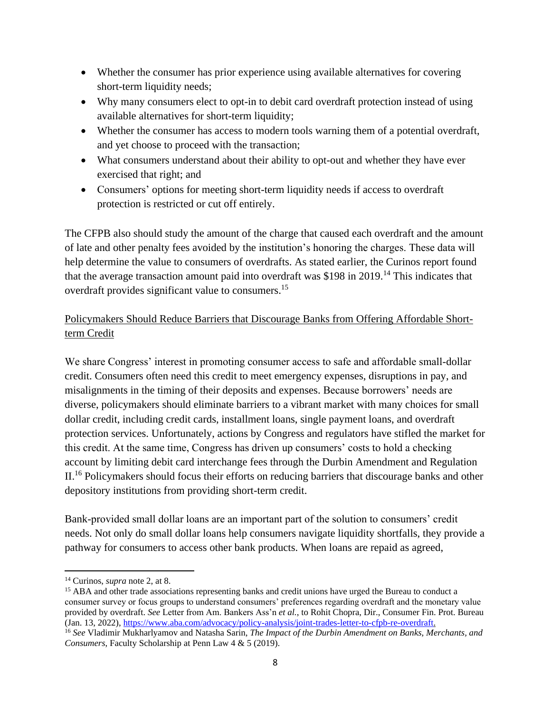- Whether the consumer has prior experience using available alternatives for covering short-term liquidity needs;
- Why many consumers elect to opt-in to debit card overdraft protection instead of using available alternatives for short-term liquidity;
- Whether the consumer has access to modern tools warning them of a potential overdraft, and yet choose to proceed with the transaction;
- What consumers understand about their ability to opt-out and whether they have ever exercised that right; and
- Consumers' options for meeting short-term liquidity needs if access to overdraft protection is restricted or cut off entirely.

The CFPB also should study the amount of the charge that caused each overdraft and the amount of late and other penalty fees avoided by the institution's honoring the charges. These data will help determine the value to consumers of overdrafts. As stated earlier, the Curinos report found that the average transaction amount paid into overdraft was \$198 in 2019.<sup>14</sup> This indicates that overdraft provides significant value to consumers.<sup>15</sup>

# Policymakers Should Reduce Barriers that Discourage Banks from Offering Affordable Shortterm Credit

We share Congress' interest in promoting consumer access to safe and affordable small-dollar credit. Consumers often need this credit to meet emergency expenses, disruptions in pay, and misalignments in the timing of their deposits and expenses. Because borrowers' needs are diverse, policymakers should eliminate barriers to a vibrant market with many choices for small dollar credit, including credit cards, installment loans, single payment loans, and overdraft protection services. Unfortunately, actions by Congress and regulators have stifled the market for this credit. At the same time, Congress has driven up consumers' costs to hold a checking account by limiting debit card interchange fees through the Durbin Amendment and Regulation II.<sup>16</sup> Policymakers should focus their efforts on reducing barriers that discourage banks and other depository institutions from providing short-term credit.

Bank-provided small dollar loans are an important part of the solution to consumers' credit needs. Not only do small dollar loans help consumers navigate liquidity shortfalls, they provide a pathway for consumers to access other bank products. When loans are repaid as agreed,

<sup>15</sup> ABA and other trade associations representing banks and credit unions have urged the Bureau to conduct a consumer survey or focus groups to understand consumers' preferences regarding overdraft and the monetary value provided by overdraft. *See* Letter from Am. Bankers Ass'n *et al.*, to Rohit Chopra, Dir., Consumer Fin. Prot. Bureau (Jan. 13, 2022), [https://www.aba.com/advocacy/policy-analysis/joint-trades-letter-to-cfpb-re-overdraft.](https://www.aba.com/advocacy/policy-analysis/joint-trades-letter-to-cfpb-re-overdraft)

<sup>14</sup> Curinos, *supra* note 2, at 8.

<sup>16</sup> *See* Vladimir Mukharlyamov and Natasha Sarin, *The Impact of the Durbin Amendment on Banks, Merchants, and Consumers*, Faculty Scholarship at Penn Law 4 & 5 (2019).